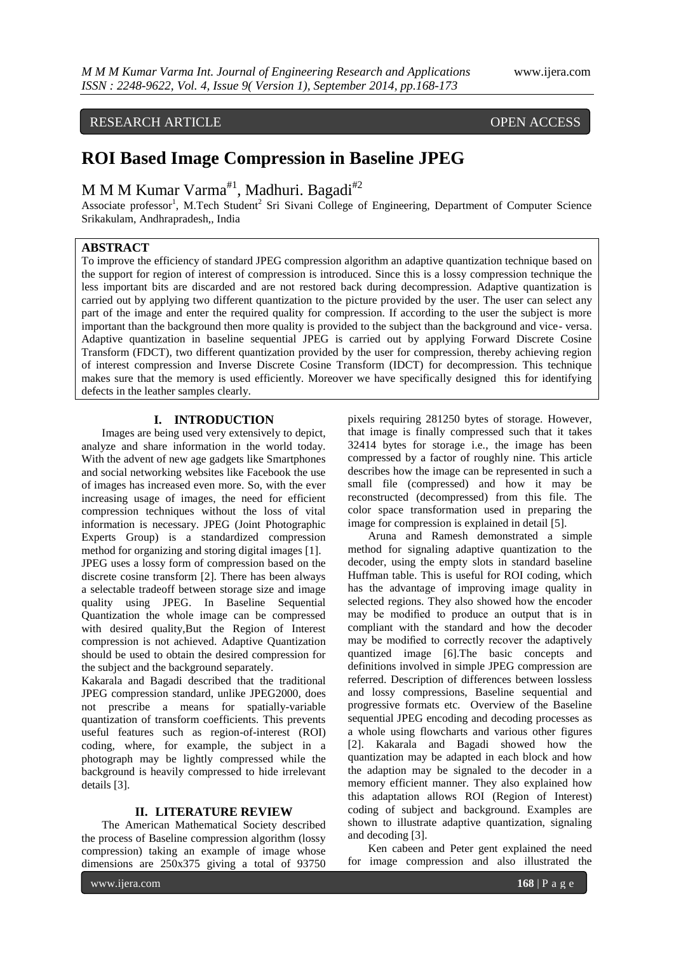# RESEARCH ARTICLE OPEN ACCESS

# **ROI Based Image Compression in Baseline JPEG**

M M M Kumar Varma<sup>#1</sup>, Madhuri. Bagadi<sup>#2</sup>

Associate professor<sup>1</sup>, M.Tech Student<sup>2</sup> Sri Sivani College of Engineering, Department of Computer Science Srikakulam, Andhrapradesh,, India

# **ABSTRACT**

To improve the efficiency of standard JPEG compression algorithm an adaptive quantization technique based on the support for region of interest of compression is introduced. Since this is a lossy compression technique the less important bits are discarded and are not restored back during decompression. Adaptive quantization is carried out by applying two different quantization to the picture provided by the user. The user can select any part of the image and enter the required quality for compression. If according to the user the subject is more important than the background then more quality is provided to the subject than the background and vice- versa. Adaptive quantization in baseline sequential JPEG is carried out by applying Forward Discrete Cosine Transform (FDCT), two different quantization provided by the user for compression, thereby achieving region of interest compression and Inverse Discrete Cosine Transform (IDCT) for decompression. This technique makes sure that the memory is used efficiently. Moreover we have specifically designed this for identifying defects in the leather samples clearly.

# **I. INTRODUCTION**

Images are being used very extensively to depict, analyze and share information in the world today. With the advent of new age gadgets like Smartphones and social networking websites like Facebook the use of images has increased even more. So, with the ever increasing usage of images, the need for efficient compression techniques without the loss of vital information is necessary. JPEG (Joint Photographic Experts Group) is a standardized compression method for organizing and storing digital images [1]. JPEG uses a lossy form of compression based on the discrete cosine transform [2]. There has been always a selectable tradeoff between storage size and image quality using JPEG. In Baseline Sequential Quantization the whole image can be compressed with desired quality,But the Region of Interest compression is not achieved. Adaptive Quantization should be used to obtain the desired compression for the subject and the background separately.

Kakarala and Bagadi described that the traditional JPEG compression standard, unlike JPEG2000, does not prescribe a means for spatially-variable quantization of transform coefficients. This prevents useful features such as region-of-interest (ROI) coding, where, for example, the subject in a photograph may be lightly compressed while the background is heavily compressed to hide irrelevant details [3].

# **II. LITERATURE REVIEW**

The American Mathematical Society described the process of Baseline compression algorithm (lossy compression) taking an example of image whose dimensions are 250x375 giving a total of 93750

pixels requiring 281250 bytes of storage. However, that image is finally compressed such that it takes 32414 bytes for storage i.e., the image has been compressed by a factor of roughly nine. This article describes how the image can be represented in such a small file (compressed) and how it may be reconstructed (decompressed) from this file. The color space transformation used in preparing the image for compression is explained in detail [5].

Aruna and Ramesh demonstrated a simple method for signaling adaptive quantization to the decoder, using the empty slots in standard baseline Huffman table. This is useful for ROI coding, which has the advantage of improving image quality in selected regions. They also showed how the encoder may be modified to produce an output that is in compliant with the standard and how the decoder may be modified to correctly recover the adaptively quantized image [6].The basic concepts and definitions involved in simple JPEG compression are referred. Description of differences between lossless and lossy compressions, Baseline sequential and progressive formats etc. Overview of the Baseline sequential JPEG encoding and decoding processes as a whole using flowcharts and various other figures [2]. Kakarala and Bagadi showed how the quantization may be adapted in each block and how the adaption may be signaled to the decoder in a memory efficient manner. They also explained how this adaptation allows ROI (Region of Interest) coding of subject and background. Examples are shown to illustrate adaptive quantization, signaling and decoding [3].

Ken cabeen and Peter gent explained the need for image compression and also illustrated the

www.ijera.com **168** | P a g e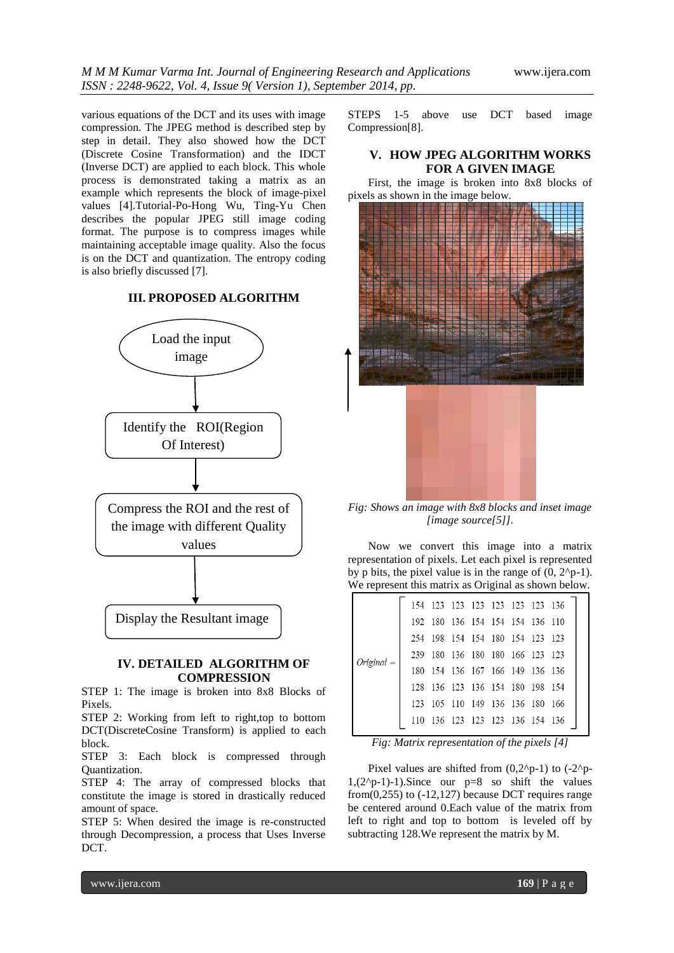various equations of the DCT and its uses with image compression. The JPEG method is described step by step in detail. They also showed how the DCT (Discrete Cosine Transformation) and the IDCT (Inverse DCT) are applied to each block. This whole process is demonstrated taking a matrix as an example which represents the block of image-pixel values [4].Tutorial-Po-Hong Wu, Ting-Yu Chen describes the popular JPEG still image coding format. The purpose is to compress images while maintaining acceptable image quality. Also the focus is on the DCT and quantization. The entropy coding is also briefly discussed [7].

# **III. PROPOSED ALGORITHM**



# **IV. DETAILED ALGORITHM OF COMPRESSION**

STEP 1: The image is broken into 8x8 Blocks of Pixels.

STEP 2: Working from left to right,top to bottom DCT(DiscreteCosine Transform) is applied to each block.

STEP 3: Each block is compressed through Quantization.

STEP 4: The array of compressed blocks that constitute the image is stored in drastically reduced amount of space.

STEP 5: When desired the image is re-constructed through Decompression, a process that Uses Inverse DCT.

STEPS 1-5 above use DCT based image Compression[8].

# **V. HOW JPEG ALGORITHM WORKS FOR A GIVEN IMAGE**

First, the image is broken into 8x8 blocks of pixels as shown in the image below.



*Fig: Shows an image with 8x8 blocks and inset image [image source[5]].*

Now we convert this image into a matrix representation of pixels. Let each pixel is represented by p bits, the pixel value is in the range of  $(0, 2^{p}-1)$ . We represent this matrix as Original as shown below.

|  |  |  | - 123                                                                                                                                                                                                                                                                            |
|--|--|--|----------------------------------------------------------------------------------------------------------------------------------------------------------------------------------------------------------------------------------------------------------------------------------|
|  |  |  |                                                                                                                                                                                                                                                                                  |
|  |  |  |                                                                                                                                                                                                                                                                                  |
|  |  |  |                                                                                                                                                                                                                                                                                  |
|  |  |  |                                                                                                                                                                                                                                                                                  |
|  |  |  |                                                                                                                                                                                                                                                                                  |
|  |  |  | 154 123 123 123 123 123 123 136<br>192 180 136 154 154 154 136 110<br>254 198 154 154 180 154 123<br>239 180 136 180 180 166 123 123<br>180 154 136 167 166 149 136 136<br>128 136 123 136 154 180 198 154<br>123 105 110 149 136 136 180 166<br>110 136 123 123 123 136 154 136 |

*Fig: Matrix representation of the pixels [4]*

Pixel values are shifted from  $(0,2^{p}-1)$  to  $(-2^{p}-1)$  $1,(2^{n}-1)-1)$ . Since our  $p=8$  so shift the values from $(0.255)$  to  $(-12.127)$  because DCT requires range be centered around 0.Each value of the matrix from left to right and top to bottom is leveled off by subtracting 128.We represent the matrix by M.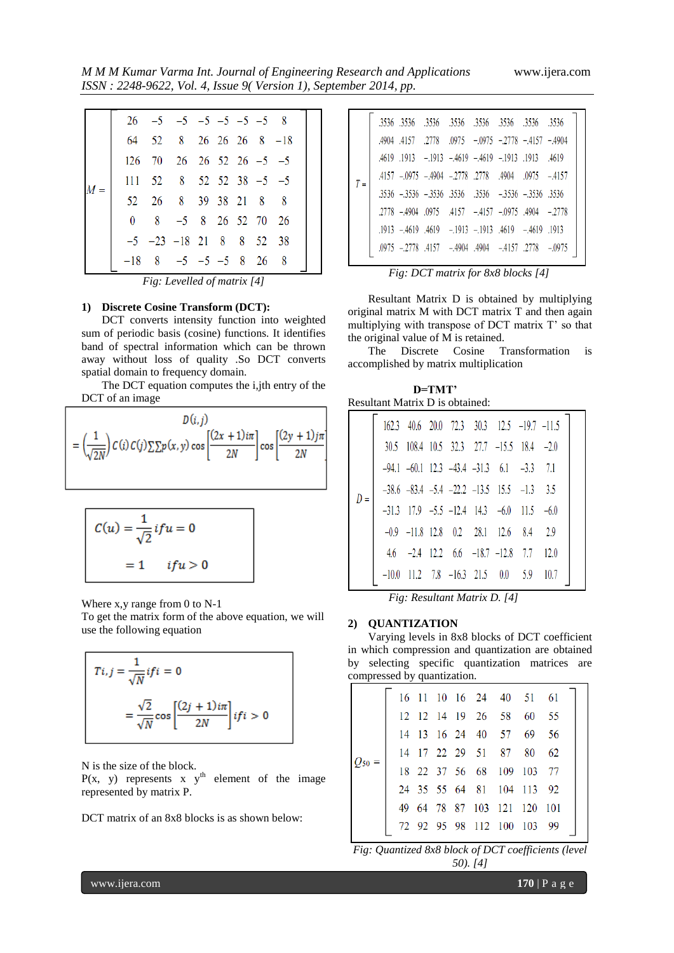*M M M Kumar Varma Int. Journal of Engineering Research and Applications* www.ijera.com *ISSN : 2248-9622, Vol. 4, Issue 9( Version 1), September 2014, pp.*

|              | $26 -5 -5 -5 -5 -5 -5 -8$               |                       |  |  |  |
|--------------|-----------------------------------------|-----------------------|--|--|--|
|              | 64 52 8 26 26 26 8 -18                  |                       |  |  |  |
|              | $126$ 70 26 26 52 26 -5 -5              |                       |  |  |  |
|              | $111$ $52$ $8$ $52$ $52$ $38$ $-5$ $-5$ |                       |  |  |  |
|              | 52 26 8 39 38 21 8                      |                       |  |  |  |
| $\mathbf{0}$ |                                         | $8 - 5 8 26 52 70 26$ |  |  |  |
|              | $-5$ $-23$ $-18$ 21 8 8 52 38           |                       |  |  |  |
| $-18$        | $8 -5 -5 -5 8 26 8$                     |                       |  |  |  |
|              |                                         |                       |  |  |  |

*Fig: Levelled of matrix [4]*

#### **1) Discrete Cosine Transform (DCT):**

DCT converts intensity function into weighted sum of periodic basis (cosine) functions. It identifies band of spectral information which can be thrown away without loss of quality .So DCT converts spatial domain to frequency domain.

The DCT equation computes the i,jth entry of the DCT of an image

$$
D(i,j)
$$
  
=  $\left(\frac{1}{\sqrt{2N}}\right) C(i) C(j) \sum \sum p(x,y) \cos \left[\frac{(2x+1)i\pi}{2N}\right] \cos \left[\frac{(2y+1)j\pi}{2N}\right]$ 

$$
C(u) = \frac{1}{\sqrt{2}} if u = 0
$$

$$
= 1 \qquad if u > 0
$$

Where x,y range from 0 to N-1

To get the matrix form of the above equation, we will use the following equation

$$
Ti, j = \frac{1}{\sqrt{N}} if i = 0
$$

$$
= \frac{\sqrt{2}}{\sqrt{N}} \cos \left[ \frac{(2j+1)i\pi}{2N} \right] if i > 0
$$

N is the size of the block.

 $P(x, y)$  represents x y<sup>th</sup> element of the image represented by matrix P.

DCT matrix of an 8x8 blocks is as shown below:

|       |  | .3536 .3536 .3536 .3536 .3536 .3536 .3536 .3536                     |  |  |
|-------|--|---------------------------------------------------------------------|--|--|
|       |  | $.4904$ $.4157$ $.2778$ $.0975$ $-0975$ $-2778$ $-4157$ $-4904$     |  |  |
|       |  | $.4619$ $.1913$ $-.1913$ $-.4619$ $-.4619$ $-.1913$ $.1913$ $.4619$ |  |  |
| $T =$ |  | $.4157 - .0975 - .4904 - .2778$ .2778 .4904 .0975 - 4157            |  |  |
|       |  | $.3536 - .3536 - .3536$ $.3536$ $.3536 - .3536 - .3536$ $.3536$     |  |  |
|       |  | $.2778 - .4904$ $.0975$ $.4157 - .4157$ $-.0975$ $.4904$ $-.2778$   |  |  |
|       |  | 1913. 4619 - 4619 - 1913 - 1913. 1913 - 1914. 1913.                 |  |  |
|       |  | .0975 -.2778 .4157 -.4904 .4904 -.4157 .2778 -.0975                 |  |  |
|       |  |                                                                     |  |  |

*Fig: DCT matrix for 8x8 blocks [4]*

Resultant Matrix D is obtained by multiplying original matrix M with DCT matrix T and then again multiplying with transpose of DCT matrix T' so that the original value of M is retained.

The Discrete Cosine Transformation is accomplished by matrix multiplication

 **D=TMT'** Resultant Matrix D is obtained:

|       |                                                            |  |  | $162.3$ 40.6 20.0 72.3 30.3 12.5 -19.7 -11.5              |      |  |
|-------|------------------------------------------------------------|--|--|-----------------------------------------------------------|------|--|
|       |                                                            |  |  | $30.5$ $108.4$ $10.5$ $32.3$ $27.7$ $-15.5$ $18.4$ $-2.0$ |      |  |
|       |                                                            |  |  | $-94.1$ $-60.1$ 12.3 $-43.4$ $-31.3$ 6.1 $-3.3$ 7.1       |      |  |
| $D =$ | $-38.6$ $-83.4$ $-5.4$ $-22.2$ $-13.5$ $15.5$ $-1.3$ $3.5$ |  |  |                                                           |      |  |
|       |                                                            |  |  | $-31.3$ $17.9$ $-5.5$ $-12.4$ $14.3$ $-6.0$ $11.5$ $-6.0$ |      |  |
|       |                                                            |  |  | $-0.9$ $-11.8$ 12.8 0.2 28.1 12.6 8.4 2.9                 |      |  |
|       |                                                            |  |  | $4.6$ $-2.4$ $12.2$ $6.6$ $-18.7$ $-12.8$ $7.7$ $12.0$    |      |  |
|       | $-10.0$ 11.2 7.8 $-16.3$ 21.5 0.0 5.9                      |  |  |                                                           | 10.7 |  |
|       |                                                            |  |  |                                                           |      |  |

*Fig: Resultant Matrix D. [4]*

### **2) QUANTIZATION**

Varying levels in 8x8 blocks of DCT coefficient in which compression and quantization are obtained by selecting specific quantization matrices are compressed by quantization.

|  |  |  | 16 11 10 16 24 40 51 61     |     |  |
|--|--|--|-----------------------------|-----|--|
|  |  |  | 12 12 14 19 26 58 60 55     |     |  |
|  |  |  | 14 13 16 24 40 57 69 56     |     |  |
|  |  |  | 14 17 22 29 51 87 80        | -62 |  |
|  |  |  | 18 22 37 56 68 109 103 77   |     |  |
|  |  |  | 24 35 55 64 81 104 113 92   |     |  |
|  |  |  | 49 64 78 87 103 121 120 101 |     |  |
|  |  |  | 72 92 95 98 112 100 103 99  |     |  |

*Fig: Quantized 8x8 block of DCT coefficients (level 50). [4]*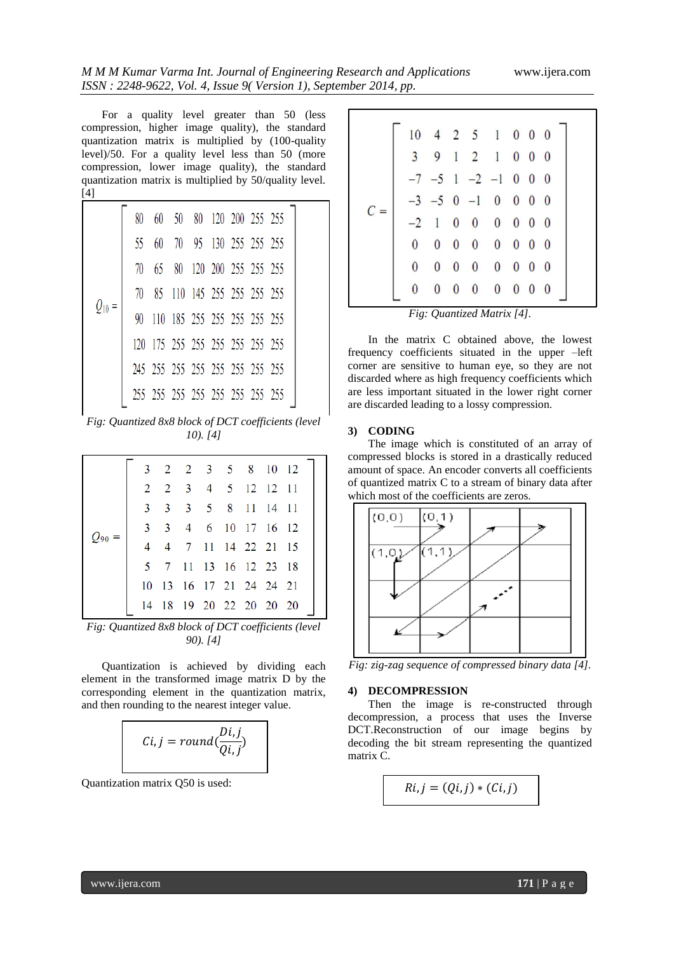For a quality level greater than 50 (less compression, higher image quality), the standard quantization matrix is multiplied by (100-quality level)/50. For a quality level less than 50 (more compression, lower image quality), the standard quantization matrix is multiplied by 50/quality level. [4]

| 80 |    | 60 50 80 120 200 255 255        |                       |  |  |
|----|----|---------------------------------|-----------------------|--|--|
| 55 | 60 |                                 | 70 95 130 255 255 255 |  |  |
| 70 |    | 65 80 120 200 255 255 255       |                       |  |  |
|    |    | 70 85 110 145 255 255 255 255   |                       |  |  |
| 90 |    | 110 185 255 255 255 255 255     |                       |  |  |
|    |    | 120 175 255 255 255 255 255 255 |                       |  |  |
|    |    | 245 255 255 255 255 255 255 255 |                       |  |  |
|    |    | 255 255 255 255 255 255 255 255 |                       |  |  |
|    |    |                                 |                       |  |  |

*Fig: Quantized 8x8 block of DCT coefficients (level 10). [4]*

|   |  |  | 3 2 2 3 5 8 10 12       |  |
|---|--|--|-------------------------|--|
|   |  |  | 2 2 3 4 5 12 12 11      |  |
| 3 |  |  | 3 3 5 8 11 14 11        |  |
|   |  |  | 3 3 4 6 10 17 16 12     |  |
| 4 |  |  | 4 7 11 14 22 21 15      |  |
|   |  |  | 5 7 11 13 16 12 23 18   |  |
|   |  |  | 10 13 16 17 21 24 24 21 |  |
|   |  |  | 14 18 19 20 22 20 20 20 |  |

*Fig: Quantized 8x8 block of DCT coefficients (level 90). [4]*

Quantization is achieved by dividing each element in the transformed image matrix D by the corresponding element in the quantization matrix, and then rounding to the nearest integer value.



Quantization matrix Q50 is used:

| $10$ 4 2 5 1 0 0 0<br>9 1 2 1 0 0 0<br>$\overline{3}$<br>$-7$ $-5$ 1 $-2$ $-1$ 0 0 0<br>$-3$ $-5$ 0 $-1$ 0 0 0 0<br>1 0 0 0 0 0 0<br>$0\quad 0\quad 0\quad 0\quad 0\quad 0\quad 0$<br>$\bf{0}$<br>$0\quad 0\quad 0\quad 0\quad 0\quad 0$<br>$\theta$<br>$\overline{0}$<br>$0\quad 0\quad 0\quad 0\quad 0\quad 0\quad 0$ |  |  |  |  |  |  |
|-------------------------------------------------------------------------------------------------------------------------------------------------------------------------------------------------------------------------------------------------------------------------------------------------------------------------|--|--|--|--|--|--|
|                                                                                                                                                                                                                                                                                                                         |  |  |  |  |  |  |
|                                                                                                                                                                                                                                                                                                                         |  |  |  |  |  |  |
|                                                                                                                                                                                                                                                                                                                         |  |  |  |  |  |  |
|                                                                                                                                                                                                                                                                                                                         |  |  |  |  |  |  |
|                                                                                                                                                                                                                                                                                                                         |  |  |  |  |  |  |
|                                                                                                                                                                                                                                                                                                                         |  |  |  |  |  |  |
|                                                                                                                                                                                                                                                                                                                         |  |  |  |  |  |  |
|                                                                                                                                                                                                                                                                                                                         |  |  |  |  |  |  |

*Fig: Quantized Matrix [4].*

In the matrix C obtained above, the lowest frequency coefficients situated in the upper –left corner are sensitive to human eye, so they are not discarded where as high frequency coefficients which are less important situated in the lower right corner are discarded leading to a lossy compression.

#### **3) CODING**

The image which is constituted of an array of compressed blocks is stored in a drastically reduced amount of space. An encoder converts all coefficients of quantized matrix C to a stream of binary data after which most of the coefficients are zeros.



*Fig: zig-zag sequence of compressed binary data [4].*

#### **4) DECOMPRESSION**

Then the image is re-constructed through decompression, a process that uses the Inverse DCT.Reconstruction of our image begins by decoding the bit stream representing the quantized matrix C.

$$
Ri, j = (Qi, j) * (Ci, j)
$$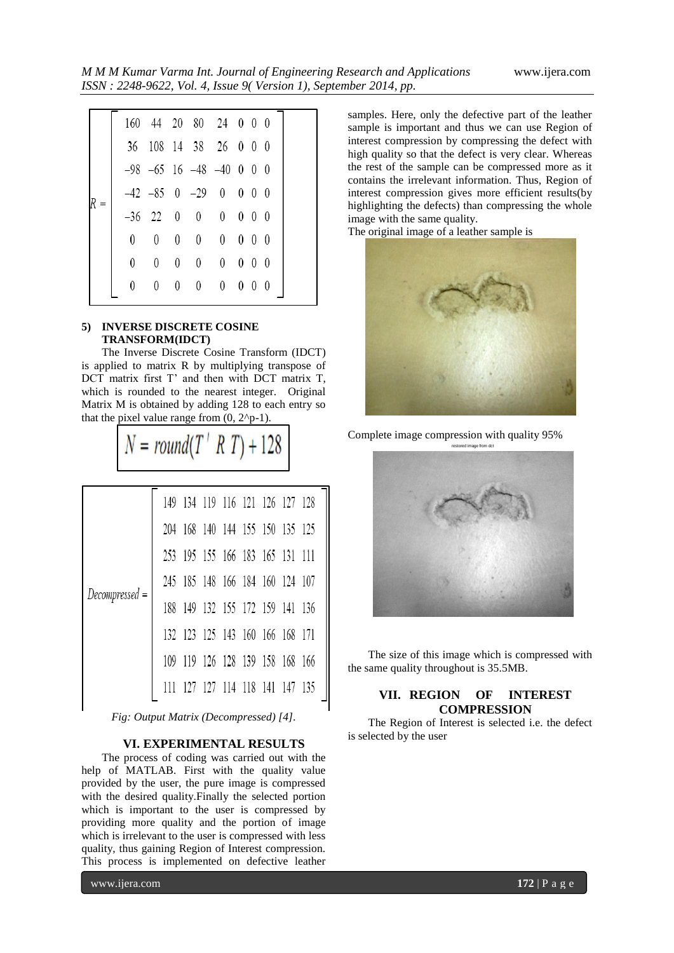|                |                                 |                |                                 | 160 44 20 80 24 0 0 0            |                   |  |
|----------------|---------------------------------|----------------|---------------------------------|----------------------------------|-------------------|--|
|                |                                 |                |                                 | 36 108 14 38 26 0 0 0            |                   |  |
|                |                                 |                |                                 | $-98$ $-65$ 16 $-48$ $-40$ 0 0 0 |                   |  |
|                |                                 |                |                                 | $-42$ $-85$ 0 $-29$ 0 0 0 0      |                   |  |
|                |                                 |                |                                 | $-36$ 22 0 0 0 0 0 0             |                   |  |
| $\overline{0}$ | 0                               | $\overline{0}$ | $\overline{0}$                  | $0\quad 0\quad 0\quad 0$         |                   |  |
| 0              | $\begin{matrix} 0 \end{matrix}$ | $\overline{0}$ | $\begin{matrix} 0 \end{matrix}$ | $0\quad 0\quad 0\quad 0$         |                   |  |
|                | 0                               | $\overline{0}$ | $\mathbf{0}$                    | $\begin{matrix} 0 \end{matrix}$  | $0\quad 0\quad 0$ |  |

# **5) INVERSE DISCRETE COSINE TRANSFORM(IDCT)**

The Inverse Discrete Cosine Transform (IDCT) is applied to matrix R by multiplying transpose of DCT matrix first T' and then with DCT matrix T, which is rounded to the nearest integer. Original Matrix M is obtained by adding 128 to each entry so that the pixel value range from  $(0, 2^{p}-1)$ .

 $N = round(T' R T) + 128$ 

|                |     |     | 149 134 119 116 121 126 127 128 |  |  |
|----------------|-----|-----|---------------------------------|--|--|
|                |     |     | 204 168 140 144 155 150 135 125 |  |  |
|                |     |     | 253 195 155 166 183 165 131 111 |  |  |
|                |     |     | 245 185 148 166 184 160 124 107 |  |  |
| Decompressed = | 188 |     | 149 132 155 172 159 141 136     |  |  |
|                |     |     | 132 123 125 143 160 166 168 171 |  |  |
|                | 109 | 119 | 126 128 139 158 168 166         |  |  |
|                |     |     | 127 127 114 118 141 147 135     |  |  |

*Fig: Output Matrix (Decompressed) [4].*

# **VI. EXPERIMENTAL RESULTS**

The process of coding was carried out with the help of MATLAB. First with the quality value provided by the user, the pure image is compressed with the desired quality.Finally the selected portion which is important to the user is compressed by providing more quality and the portion of image which is irrelevant to the user is compressed with less quality, thus gaining Region of Interest compression. This process is implemented on defective leather

samples. Here, only the defective part of the leather sample is important and thus we can use Region of interest compression by compressing the defect with high quality so that the defect is very clear. Whereas the rest of the sample can be compressed more as it contains the irrelevant information. Thus, Region of interest compression gives more efficient results(by highlighting the defects) than compressing the whole image with the same quality.

The original image of a leather sample is



Complete image compression with quality 95%



The size of this image which is compressed with the same quality throughout is 35.5MB.

# **VII. REGION OF INTEREST COMPRESSION**

The Region of Interest is selected i.e. the defect is selected by the user

www.ijera.com **172** | P a g e